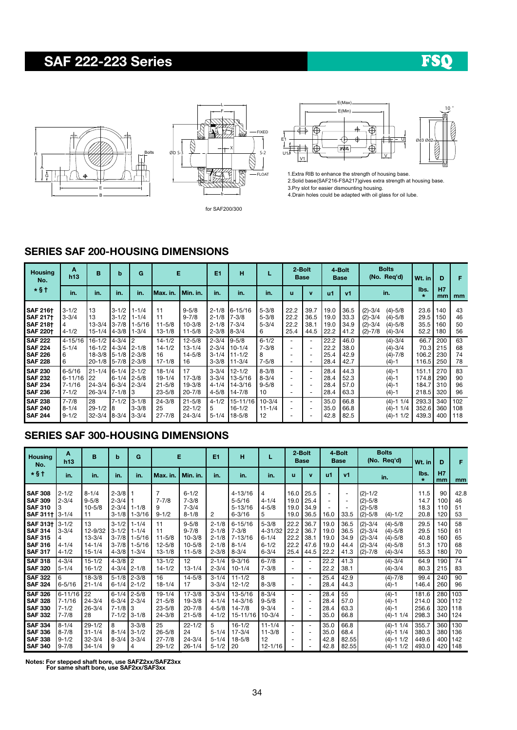# SAF 222-223 Series

# FSO





for SAF200/300



1.Extra RIB to enhance the strength of housing base. 2.Solid base(SAF216-FSA217)gives extra strength at housing base. 3.Pry slot for easier dismounting housing.

4.Drain holes could be adapted with oil glass for oil lube.

#### SERIES SAF 200-HOUSING DIMENSIONS

| <b>Housing</b><br>No.                                                    | A<br>h13                                             | B                                                                  | b                                                            | G                                             | Е                                            |                                                    | E <sub>1</sub>                                   | н                                                    |                                           | 2-Bolt                                               | Base                                                                                  |                              | 4-Bolt<br><b>Base</b>        | <b>Bolts</b><br>(No. Req'd)                                                                                  | Wt. in                           | D                        | F                    |
|--------------------------------------------------------------------------|------------------------------------------------------|--------------------------------------------------------------------|--------------------------------------------------------------|-----------------------------------------------|----------------------------------------------|----------------------------------------------------|--------------------------------------------------|------------------------------------------------------|-------------------------------------------|------------------------------------------------------|---------------------------------------------------------------------------------------|------------------------------|------------------------------|--------------------------------------------------------------------------------------------------------------|----------------------------------|--------------------------|----------------------|
| $*$ §†                                                                   | in.                                                  | in.                                                                | in.                                                          | in.                                           | lMax. in.                                    | l Min. in.                                         | in.                                              | in.                                                  | in.                                       | u                                                    | $\mathbf{v}$                                                                          | u1                           | <b>v1</b>                    | in.                                                                                                          | lbs.<br>$\star$                  | H7<br>mm                 | mm                   |
| <b>SAF 216+</b><br><b>SAF 2171</b><br><b>SAF 2181</b><br><b>SAF 2201</b> | $3 - 1/2$<br>$3 - 3/4$<br>4<br>$4 - 1/2$             | 13<br>13<br>$13 - 3/4$<br>$15 - 1/4$                               | $3 - 1/2$<br>$3 - 1/2$<br>$3 - 7/8$<br>$4 - 3/8$             | $1 - 1/4$<br>$1 - 1/4$<br>$1 - 5/16$<br>1-3/4 | 11<br>11<br>$11 - 5/8$<br>$13 - 1/8$         | $9 - 5/8$<br>$9 - 7/8$<br>$10 - 3/8$<br>$11 - 5/8$ | $2 - 1/8$<br>$2 - 1/8$<br>$2 - 1/8$<br>$2 - 3/8$ | 6-15/16<br>$7 - 3/8$<br>$7 - 3/4$<br>$8 - 3/4$       | $5 - 3/8$<br>$5 - 3/8$<br>$5 - 3/4$<br>6  | 22.2<br>22.2<br>22.2<br>25.4                         | 39.7<br>36.5<br>38.1<br>44.5                                                          | 19.0<br>19.0<br>19.0<br>22.2 | 36.5<br>33.3<br>34.9<br>41.2 | $(2)-3/4$<br>$(4) - 5/8$<br>$(2)-3/4$<br>$(4) - 5/8$<br>$(2)-3/4$<br>$(4) - 5/8$<br>$(2)-7/8$<br>$(4) - 3/4$ | 23.6<br>29.5<br>35.5<br>52.2     | 140<br>150<br>160<br>180 | 43<br>46<br>50<br>56 |
| <b>SAF 222</b><br><b>SAF 224</b><br><b>SAF 226</b><br><b>SAF 228</b>     | $4 - 15/16$<br>$5 - 1/4$<br>6<br>6                   | $16-1/2$ 4-3/4 2<br>$16 - 1/2$<br>18-3/8 5-1/8 2-3/8<br>$20 - 1/8$ | 4-3/4   2-1/8<br>$5 - 7/8$                                   | $2 - 3/8$                                     | $14 - 1/2$<br>$14 - 1/2$<br>16<br>$17 - 1/8$ | $12 - 5/8$<br>$13 - 1/4$<br>$14 - 5/8$<br>16       | $2 - 3/4$<br>$2 - 3/4$<br>$3 - 1/4$<br>$3 - 3/8$ | $9 - 5/8$<br>$10 - 1/4$<br>$111 - 1/2$<br>$11 - 3/4$ | $6 - 1/2$<br>$7 - 3/8$<br>8<br>$7 - 5/8$  | ٠<br>-                                               | $\overline{\phantom{a}}$<br>$\overline{\phantom{a}}$<br>÷<br>$\overline{\phantom{a}}$ | 22.2<br>22.2<br>25.4<br>28.4 | 46.0<br>38.0<br>42.9<br>42.7 | $(4) - 3/4$<br>$(4) - 3/4$<br>$(4) - 7/8$<br>$(4)-1$                                                         | 66.7<br>70.3<br>106.2<br>116.5   | 200<br>215<br>230<br>250 | 63<br>68<br>74<br>78 |
| <b>SAF 230</b><br><b>SAF 232</b><br><b>SAF 234</b><br><b>SAF 236</b>     | $6 - 5/16$<br>$6 - 11/16$<br>$7 - 1/16$<br>$7 - 1/2$ | $21 - 1/4$<br><b>22</b><br>$24 - 3/4$<br>$26 - 3/4$                | 6-1/4 2-1/2<br>$6-1/4$ 2-5/8<br>$6-3/4$ 2-3/4<br>$7 - 1/8$ 3 |                                               | 18-1/4<br>19-1/4<br>$21 - 5/8$<br>$23 - 5/8$ | 17<br>$17 - 3/8$<br>$19 - 3/8$<br>$20 - 7/8$       | $3 - 3/4$<br>$3 - 3/4$<br>$4 - 1/4$<br>$4 - 5/8$ | $12 - 1/2$<br>13-5/16<br>14-3/16<br>14-7/8           | $8 - 3/8$<br>$8 - 3/4$<br>$9 - 5/8$<br>10 | $\overline{\phantom{0}}$<br>$\overline{\phantom{0}}$ | $\overline{\phantom{a}}$<br>٠<br>$\overline{\phantom{a}}$<br>$\overline{\phantom{a}}$ | 28.4<br>28.4<br>28.4<br>28.4 | 44.3<br>52.3<br>57.0<br>63.3 | $(4)-1$<br>$(4)-1$<br>$(4)-1$<br>$(4)-1$                                                                     | 151.1<br>174.8<br>184.7<br>218.5 | 270<br>290<br>310<br>320 | 83<br>90<br>96<br>96 |
| <b>SAF 238</b><br><b>SAF 240</b><br><b>SAF 244</b>                       | $7 - 7/8$<br>$8 - 1/4$<br>$9 - 1/2$                  | 28<br>$29 - 1/2$<br>$32 - 3/4$                                     | $7 - 1/2$<br>8<br>8-3/4 3-3/4                                | $3 - 1/8$<br>$3 - 3/8$                        | $24 - 3/8$<br>25<br>$27 - 7/8$               | $21 - 5/8$<br>$22 - 1/2$<br>$24 - 3/4$             | $4 - 1/2$<br>5<br>$5 - 1/4$                      | 15-11/16<br>$16 - 1/2$<br>$18 - 5/8$                 | $10 - 3/4$<br>$11 - 1/4$<br>12            | $\overline{\phantom{0}}$                             | $\overline{\phantom{a}}$<br>$\overline{\phantom{a}}$<br>$\overline{\phantom{a}}$      | 35.0<br>35.0<br>42.8         | 66.8<br>66.8<br>82.5         | $(4)-1$ 1/4<br>$(4)-1$ 1/4<br>$(4)-1$ 1/2                                                                    | 293.3<br>352.6<br>439.3          | 340<br>360<br>400        | 102<br>108<br>118    |

## SERIES SAF 300-HOUSING DIMENSIONS

| <b>Housing</b><br>No.                                                                   | Α<br>B<br>h13                                    |                                                         | b                                                | G                                                                     |                                                      | Е                                                                |                                                               | н                                                                  |                                                                 | 2-Bolt<br><b>Base</b>                |                                                           | 4-Bolt<br>Base                       |                                                            | <b>Bolts</b><br>(No. Req'd)                                   |                                                                   | Wt. in                               | D                               | F                             |
|-----------------------------------------------------------------------------------------|--------------------------------------------------|---------------------------------------------------------|--------------------------------------------------|-----------------------------------------------------------------------|------------------------------------------------------|------------------------------------------------------------------|---------------------------------------------------------------|--------------------------------------------------------------------|-----------------------------------------------------------------|--------------------------------------|-----------------------------------------------------------|--------------------------------------|------------------------------------------------------------|---------------------------------------------------------------|-------------------------------------------------------------------|--------------------------------------|---------------------------------|-------------------------------|
| *§†                                                                                     | in.                                              | in.                                                     | in.                                              | in.                                                                   | Max. in.                                             | Min. in.                                                         | in.                                                           | in.                                                                | in.                                                             | u                                    | $\mathbf v$                                               | u1                                   | v1                                                         |                                                               | in.                                                               | lbs.<br>$\star$                      | H7<br>mm                        | mm                            |
| <b>SAF 308</b><br><b>SAF 309</b><br><b>SAF 310</b><br>SAF 311+ 3-1/4                    | $2 - 1/2$<br>$2 - 3/4$                           | $8 - 1/4$<br>$9 - 5/8$<br>$10 - 5/8$<br>11              | $2 - 3/8$<br>$2 - 3/4$                           | $2 - 3/4$ 1-1/8<br>$3-1/8$ 1-3/16                                     | $7 - 7/8$<br>9<br>$9 - 1/2$                          | $6 - 1/2$<br>$7 - 3/8$<br>$7 - 3/4$<br>$8 - 1/8$                 | 2                                                             | 4-13/16<br>$5 - 5/16$<br>$5 - 13/16$<br>$6 - 3/16$                 | 4<br>$4 - 1/4$<br>$4 - 5/8$<br>5                                | 16.0<br>19.0<br>19.0<br>19.0         | 25.5<br>25.4<br>34.9<br>36.5                              | $\overline{\phantom{a}}$<br>16.0     | $\qquad \qquad -$<br>٠<br>$\overline{\phantom{0}}$<br>33.5 | $(2)-1/2$<br>$(2)-5/8$<br>$(2)-5/8$<br>$(2)-5/8$              | $(4) - 1/2$                                                       | 11.5<br>14.7<br>18.3<br>20.8         | 90<br>100<br>110<br>120         | 42.8<br>46<br>51<br>53        |
| <b>SAF 313+</b><br><b>SAF 314</b><br><b>SAF 315</b><br><b>SAF 316</b><br><b>SAF 317</b> | $3 - 1/2$<br>$3 - 3/4$<br>$4 - 1/4$<br>$4 - 1/2$ | 13<br>12-9/32<br>$13 - 3/4$<br>$14 - 1/4$<br>$15 - 1/4$ | $3 - 1/2$<br>$3 - 1/2$<br>$3 - 7/8$<br>$4 - 3/8$ | $1 - 1/4$<br>$1 - 1/4$<br>$1 - 5/16$<br>$3 - 7/8$ 1-5/16<br>$1 - 3/4$ | 11<br>11<br>$11 - 5/8$<br>$12 - 5/8$<br>$13 - 1/8$   | $9 - 5/8$<br>$9 - 7/8$<br>$10 - 3/8$<br>$10 - 5/8$<br>$11 - 5/8$ | $2 - 1/8$<br>$2 - 1/8$<br>$2 - 1/8$<br>$2 - 1/8$<br>$2 - 3/8$ | $6 - 15/16$<br>$7 - 3/8$<br>$17 - 13/16$<br>$8 - 1/4$<br>$8 - 3/4$ | $5 - 3/8$<br>$4 - 31/32$<br>$6 - 1/4$<br>$6 - 1/2$<br>$6 - 3/4$ | 22.2<br>22.2<br>22.2<br>22.2<br>25.4 | 36.7<br>36.7<br>38.1<br>47.6<br>44.5                      | 19.0<br>19.0<br>19.0<br>19.0<br>22.2 | 36.5<br>36.5<br>34.9<br>44.4<br>41.3                       | $(2)-3/4$<br>$(2)-3/4$<br>$(2)-3/4$<br>$(2)-3/4$<br>$(2)-7/8$ | $(4) - 5/8$<br>$(4)-5/8$<br>$(4)-5/8$<br>$(4)-5/8$<br>$(4) - 3/4$ | 29.5<br>29.5<br>40.8<br>51.3<br>55.3 | 140<br>150<br>160<br>170<br>180 | 58<br>61<br>65<br>68<br>70    |
| <b>SAF 318</b><br><b>SAF 320</b>                                                        | $4 - 3/4$<br>$5 - 1/4$                           | $15 - 1/2$<br>$16 - 1/2$                                | $4 - 3/8$                                        | l 2<br>$4 - 3/4$ 2-1/8                                                | $13 - 1/2$<br>$14 - 1/2$                             | 12<br>$13 - 1/4$                                                 | $2 - 1/4$<br>$2 - 3/4$                                        | $9 - 3/16$<br>$10 - 1/4$                                           | $6 - 7/8$<br>$7 - 3/8$                                          |                                      | $\sim$<br>٠                                               | 22.2<br>22.2                         | 41.3<br>38.1                                               |                                                               | $(4) - 3/4$<br>$(4) - 3/4$                                        | 64.9<br>80.3                         | 190<br>215                      | 74<br>83                      |
| <b>SAF 322</b><br><b>SAF 324</b>                                                        | 6<br>$6 - 5/16$                                  | $18 - 3/8$<br>$21 - 1/4$                                | $5 - 1/8$<br>$6 - 1/4$                           | $2 - 3/8$<br>$2 - 1/2$                                                | 16<br>$18 - 1/4$                                     | $14 - 5/8$<br>17                                                 | $3 - 1/4$<br>$3 - 3/4$                                        | $11 - 1/2$<br>$12 - 1/2$                                           | 8<br>$8 - 3/8$                                                  |                                      | $\overline{\phantom{a}}$                                  | 25.4<br>28.4                         | 42.9<br>44.3                                               |                                                               | $(4) - 7/8$<br>$(4)-1$                                            | 99.4<br>146.4                        | 240<br>260                      | 90<br>96                      |
| <b>SAF 326</b><br><b>SAF 328</b><br><b>SAF 330</b><br><b>SAF 332</b>                    | $6 - 11/16$<br>$7 - 1/16$<br>$7 - 1/2$<br>7-7/8  | 22<br>$24 - 3/4$<br>$26 - 3/4$<br>28                    | $6 - 1/4$<br>$7 - 1/8$ 3<br>$7 - 1/2$            | $2 - 5/8$<br>$6 - 3/4$ 2-3/4<br>$3 - 1/8$                             | $19 - 1/4$<br>$21 - 5/8$<br>$23 - 5/8$<br>$24 - 3/8$ | $17 - 3/8$<br>19-3/8<br>$20 - 7/8$<br>$21 - 5/8$                 | $3 - 3/4$<br>$4 - 1/4$<br>$4 - 5/8$<br>$4 - 1/2$              | $13 - 5/16$<br>$14 - 3/16$<br>$14 - 7/8$<br>$15 - 11/16$           | $8 - 3/4$<br>$9 - 5/8$<br>$9 - 3/4$<br>$10 - 3/4$               |                                      | $\overline{\phantom{a}}$<br>٠<br>$\overline{\phantom{a}}$ | 28.4<br>28.4<br>28.4<br>35.0         | 55<br>57.0<br>63.3<br>66.8                                 |                                                               | $(4)-1$<br>$(4)-1$<br>$(4)-1$<br>$(4)-1$ 1/4                      | 181.6<br>214.0<br>256.6<br>298.3     | 280<br>300<br>320               | 103<br>1112<br>118<br>340 124 |
| <b>SAF 334</b><br><b>SAF 336</b><br><b>SAF 338</b><br><b>SAF 340</b>                    | $8 - 1/4$<br>$8 - 7/8$<br>$9 - 1/2$<br>$9 - 7/8$ | $29 - 1/2$<br>$31 - 1/4$<br>$32 - 3/4$<br>$34 - 1/4$    | 8<br>$8 - 1/4$<br>9                              | $3 - 3/8$<br>$3 - 1/2$<br>$8-3/4$ 3-3/4<br>4                          | 25<br>$26 - 5/8$<br>$27 - 7/8$<br>$29 - 1/2$         | $22 - 1/2$<br>24<br>$24 - 3/4$<br>$26 - 1/4$                     | 5<br>$5 - 1/4$<br>$5 - 1/4$<br>$5 - 1/2$                      | $16 - 1/2$<br>$17 - 3/4$<br>$18 - 5/8$<br> 20                      | $11 - 1/4$<br>$11 - 3/8$<br>12<br>$12 - 1/16$                   | $\overline{\phantom{0}}$             | $\overline{\phantom{a}}$<br>$\overline{\phantom{a}}$      | 35.0<br>35.0<br>42.8<br>42.8         | 66.8<br>68.4<br>82.55<br>82.55                             |                                                               | $(4)-1$ 1/4<br>$(4)-1$ 1/4<br>$(4)-1$ 1/2<br>$(4)-1$ 1/2          | 355.7<br>380.3<br>449.6<br>493.0     | 360<br>380 <sup>1</sup><br>400  | 130<br>136<br>142<br>420 148  |

Notes: For stepped shaft bore, use SAFZ2xx/SAFZ3xx For same shaft bore, use SAF2xx/SAF3xx